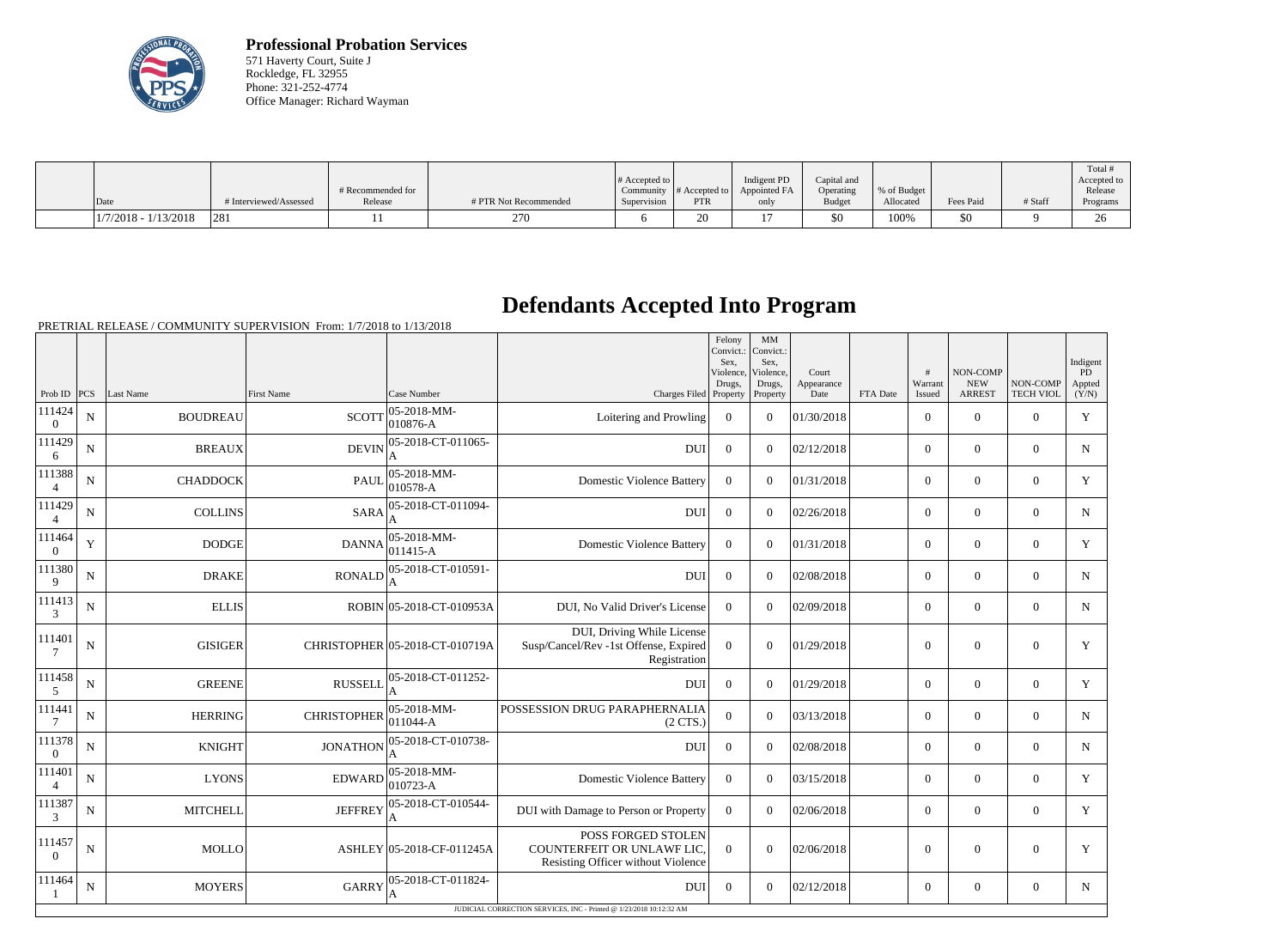

**Professional Probation Services** 571 Haverty Court, Suite J Rockledge, FL 32955 Phone: 321-252-4774 Office Manager: Richard Wayman

|                        |                        |                   |                       |                       |                  |                |               |             |           |         | Total                |
|------------------------|------------------------|-------------------|-----------------------|-----------------------|------------------|----------------|---------------|-------------|-----------|---------|----------------------|
|                        |                        |                   |                       | $\#$ Accepted to $\ $ |                  | Indigent PD    | Capital and   |             |           |         | Accepted to          |
|                        |                        | # Recommended for |                       | Community             | $\#$ Accepted to | Appointed FA   | Operating     | % of Budget |           |         | Release              |
| Date                   | # Interviewed/Assessed | Release           | # PTR Not Recommended | Supervision           | <b>PTR</b>       | only           | <b>Budget</b> | Allocated   | Fees Paid | # Staff | Programs             |
| $1/7/2018 - 1/13/2018$ | 281                    |                   | 270                   |                       | 20               | $\overline{ }$ | \$0           | 100%        | \$0       |         | $\overline{C}$<br>∠∪ |

## **Defendants Accepted Into Program**

PRETRIAL RELEASE / COMMUNITY SUPERVISION From: 1/7/2018 to 1/13/2018

|                          |             |                 |                    |                                      |                                                                                        | Felony<br>Convict.:<br>Sex.<br>Violence,<br>Drugs, | MM<br>Convict.:<br>Sex,<br>Violence.<br>Drugs, | Court<br>Appearance |          | #<br>Warrant     | <b>NON-COMP</b><br><b>NEW</b> | NON-COMP         | Indigent<br><b>PD</b><br>Appted |
|--------------------------|-------------|-----------------|--------------------|--------------------------------------|----------------------------------------------------------------------------------------|----------------------------------------------------|------------------------------------------------|---------------------|----------|------------------|-------------------------------|------------------|---------------------------------|
| Prob ID                  | PCS         | Last Name       | <b>First Name</b>  | Case Number                          | Charges Filed Property                                                                 |                                                    | Property                                       | Date                | FTA Date | Issued           | <b>ARREST</b>                 | <b>TECH VIOL</b> | (Y/N)                           |
| 111424<br>$\theta$       | $\mathbf N$ | <b>BOUDREAU</b> | <b>SCOTT</b>       | 05-2018-MM-<br>$ 010876-A$           | Loitering and Prowling                                                                 | $\overline{0}$                                     | $\overline{0}$                                 | 01/30/2018          |          | $\overline{0}$   | $\mathbf{0}$                  | $\overline{0}$   | Y                               |
| 111429<br>6              | N           | <b>BREAUX</b>   | <b>DEVIN</b>       | 05-2018-CT-011065-                   | <b>DUI</b>                                                                             | $\overline{0}$                                     | $\Omega$                                       | 02/12/2018          |          | $\overline{0}$   | $\overline{0}$                | $\overline{0}$   | $\mathbf N$                     |
| 111388<br>$\overline{4}$ | N           | <b>CHADDOCK</b> | <b>PAUL</b>        | 05-2018-MM-<br>010578-A              | <b>Domestic Violence Battery</b>                                                       | $\overline{0}$                                     | $\Omega$                                       | 01/31/2018          |          | $\overline{0}$   | $\mathbf{0}$                  | $\mathbf{0}$     | Y                               |
| 111429<br>$\overline{4}$ | N           | <b>COLLINS</b>  | <b>SARA</b>        | 05-2018-CT-011094-<br>A              | <b>DUI</b>                                                                             | $\Omega$                                           | $\Omega$                                       | 02/26/2018          |          | $\overline{0}$   | $\mathbf{0}$                  | $\overline{0}$   | N                               |
| 111464<br>$\overline{0}$ | Y           | <b>DODGE</b>    | <b>DANNA</b>       | 05-2018-MM-<br>$ 011415-A $          | <b>Domestic Violence Battery</b>                                                       | $\Omega$                                           | $\Omega$                                       | 01/31/2018          |          | $\overline{0}$   | $\boldsymbol{0}$              | $\overline{0}$   | Y                               |
| 111380<br>9              | N           | <b>DRAKE</b>    | <b>RONALD</b>      | 05-2018-CT-010591-<br>A              | <b>DUI</b>                                                                             | $\Omega$                                           | $\Omega$                                       | 02/08/2018          |          | $\Omega$         | $\theta$                      | $\Omega$         | $\mathbf N$                     |
| 111413<br>3              | N           | <b>ELLIS</b>    |                    | ROBIN 05-2018-CT-010953A             | DUI, No Valid Driver's License                                                         | $\Omega$                                           | $\Omega$                                       | 02/09/2018          |          | $\Omega$         | $\theta$                      | $\overline{0}$   | $\mathbf N$                     |
| 111401<br>7              | $\mathbf N$ | <b>GISIGER</b>  |                    | CHRISTOPHER 05-2018-CT-010719A       | DUI, Driving While License<br>Susp/Cancel/Rev -1st Offense, Expired<br>Registration    | $\theta$                                           | $\theta$                                       | 01/29/2018          |          | $\boldsymbol{0}$ | $\theta$                      | $\overline{0}$   | Y                               |
| 111458<br>5              | $\mathbf N$ | <b>GREENE</b>   | <b>RUSSELL</b>     | 05-2018-CT-011252-                   | <b>DUI</b>                                                                             | $\overline{0}$                                     | $\Omega$                                       | 01/29/2018          |          | $\overline{0}$   | $\mathbf{0}$                  | $\overline{0}$   | Y                               |
| 111441<br>7              | N           | <b>HERRING</b>  | <b>CHRISTOPHER</b> | 05-2018-MM-<br>011044-A              | POSSESSION DRUG PARAPHERNALIA<br>$(2 \text{ CTS})$                                     | $\overline{0}$                                     | $\Omega$                                       | 03/13/2018          |          | $\Omega$         | $\theta$                      | $\Omega$         | N                               |
| 111378<br>$\theta$       | N           | <b>KNIGHT</b>   | <b>JONATHON</b>    | 05-2018-CT-010738-                   | <b>DUI</b>                                                                             | $\theta$                                           | $\Omega$                                       | 02/08/2018          |          | $\overline{0}$   | $\boldsymbol{0}$              | $\overline{0}$   | N                               |
| 111401<br>$\overline{4}$ | N           | <b>LYONS</b>    | <b>EDWARD</b>      | $ 05 - 2018 - MM -$<br>$ 010723 - A$ | <b>Domestic Violence Battery</b>                                                       | $\theta$                                           | $\Omega$                                       | 03/15/2018          |          | $\overline{0}$   | $\theta$                      | $\Omega$         | Y                               |
| 111387<br>3              | N           | <b>MITCHELL</b> | <b>JEFFREY</b>     | 05-2018-CT-010544-<br>A              | DUI with Damage to Person or Property                                                  | $\Omega$                                           | $\Omega$                                       | 02/06/2018          |          | $\overline{0}$   | $\mathbf{0}$                  | $\mathbf{0}$     | Y                               |
| 111457<br>$\Omega$       | N           | <b>MOLLO</b>    |                    | ASHLEY 05-2018-CF-011245A            | POSS FORGED STOLEN<br>COUNTERFEIT OR UNLAWF LIC,<br>Resisting Officer without Violence | $\overline{0}$                                     | $\theta$                                       | 02/06/2018          |          | $\boldsymbol{0}$ | $\theta$                      | $\overline{0}$   | Y                               |
| 111464                   | N           | <b>MOYERS</b>   | <b>GARRY</b>       | 05-2018-CT-011824-<br>A              | <b>DUI</b>                                                                             | $\theta$                                           | $\Omega$                                       | 02/12/2018          |          | $\overline{0}$   | $\mathbf{0}$                  | $\overline{0}$   | N                               |
|                          |             |                 |                    |                                      | JUDICIAL CORRECTION SERVICES, INC - Printed @ 1/23/2018 10:12:32 AM                    |                                                    |                                                |                     |          |                  |                               |                  |                                 |